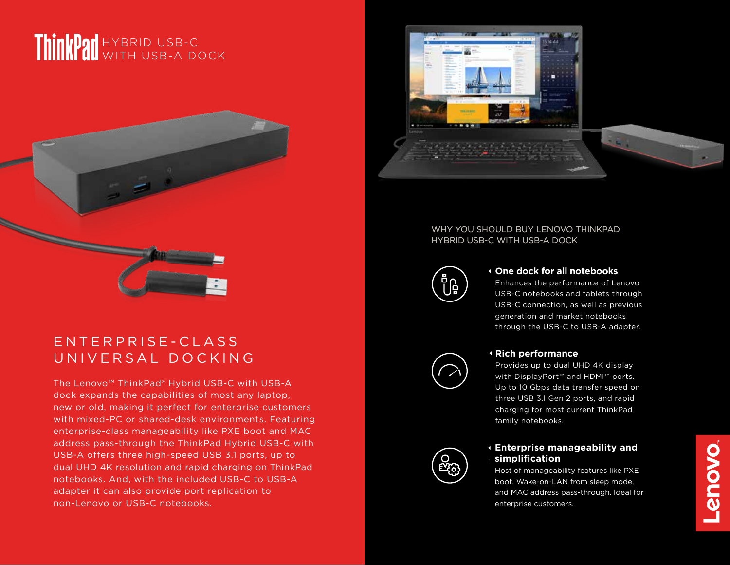# HYBRID USB-C WITH USB-A DOCK



## E N T E R P R I S E - C L A S S UNIVERSAL DOCKING

The Lenovo™ ThinkPad® Hybrid USB-C with USB-A dock expands the capabilities of most any laptop, new or old, making it perfect for enterprise customers with mixed-PC or shared-desk environments. Featuring enterprise-class manageability like PXE boot and MAC address pass-through the ThinkPad Hybrid USB-C with USB-A offers three high-speed USB 3.1 ports, up to dual UHD 4K resolution and rapid charging on ThinkPad notebooks. And, with the included USB-C to USB-A adapter it can also provide port replication to non-Lenovo or USB-C notebooks.



### WHY YOU SHOULD BUY LENOVO THINKPAD HYBRID USB-C WITH USB-A DOCK



#### **One dock for all notebooks**

Enhances the performance of Lenovo USB-C notebooks and tablets through USB-C connection, as well as previous generation and market notebooks through the USB-C to USB-A adapter.



#### **Rich performance**

Provides up to dual UHD 4K display with DisplayPort™ and HDMI™ ports. Up to 10 Gbps data transfer speed on three USB 3.1 Gen 2 ports, and rapid charging for most current ThinkPad family notebooks.

## **Enterprise manageability and simplification**

Host of manageability features like PXE boot, Wake-on-LAN from sleep mode, and MAC address pass-through. Ideal for enterprise customers.